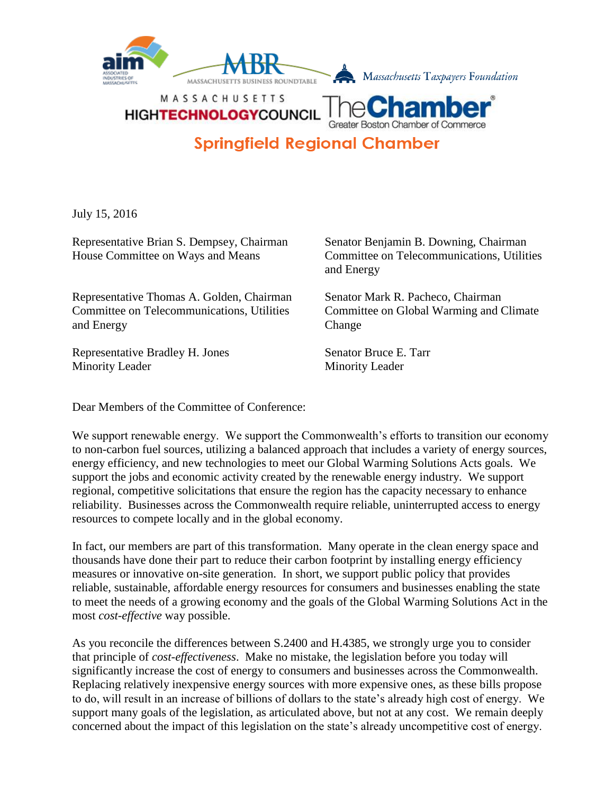

**HIGHTECHNOLOGYCOUNCI Springfield Regional Chamber** 

July 15, 2016

Representative Brian S. Dempsey, Chairman Senator Benjamin B. Downing, Chairman

Representative Thomas A. Golden, Chairman Senator Mark R. Pacheco, Chairman Committee on Telecommunications, Utilities Committee on Global Warming and Climate and Energy Change

Representative Bradley H. Jones Senator Bruce E. Tarr Minority Leader Minority Leader

House Committee on Ways and Means Committee on Telecommunications, Utilities and Energy

Dear Members of the Committee of Conference:

We support renewable energy. We support the Commonwealth's efforts to transition our economy to non-carbon fuel sources, utilizing a balanced approach that includes a variety of energy sources, energy efficiency, and new technologies to meet our Global Warming Solutions Acts goals. We support the jobs and economic activity created by the renewable energy industry. We support regional, competitive solicitations that ensure the region has the capacity necessary to enhance reliability. Businesses across the Commonwealth require reliable, uninterrupted access to energy resources to compete locally and in the global economy.

In fact, our members are part of this transformation. Many operate in the clean energy space and thousands have done their part to reduce their carbon footprint by installing energy efficiency measures or innovative on-site generation. In short, we support public policy that provides reliable, sustainable, affordable energy resources for consumers and businesses enabling the state to meet the needs of a growing economy and the goals of the Global Warming Solutions Act in the most *cost-effective* way possible.

As you reconcile the differences between S.2400 and H.4385, we strongly urge you to consider that principle of *cost-effectiveness*. Make no mistake, the legislation before you today will significantly increase the cost of energy to consumers and businesses across the Commonwealth. Replacing relatively inexpensive energy sources with more expensive ones, as these bills propose to do, will result in an increase of billions of dollars to the state's already high cost of energy. We support many goals of the legislation, as articulated above, but not at any cost. We remain deeply concerned about the impact of this legislation on the state's already uncompetitive cost of energy.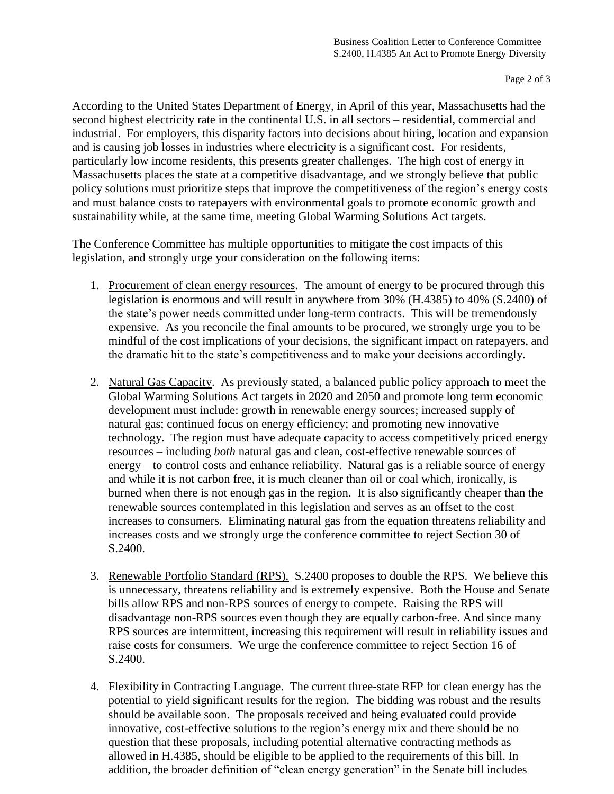According to the United States Department of Energy, in April of this year, Massachusetts had the second highest electricity rate in the continental U.S. in all sectors – residential, commercial and industrial. For employers, this disparity factors into decisions about hiring, location and expansion and is causing job losses in industries where electricity is a significant cost. For residents, particularly low income residents, this presents greater challenges. The high cost of energy in Massachusetts places the state at a competitive disadvantage, and we strongly believe that public policy solutions must prioritize steps that improve the competitiveness of the region's energy costs and must balance costs to ratepayers with environmental goals to promote economic growth and sustainability while, at the same time, meeting Global Warming Solutions Act targets.

The Conference Committee has multiple opportunities to mitigate the cost impacts of this legislation, and strongly urge your consideration on the following items:

- 1. Procurement of clean energy resources. The amount of energy to be procured through this legislation is enormous and will result in anywhere from 30% (H.4385) to 40% (S.2400) of the state's power needs committed under long-term contracts. This will be tremendously expensive. As you reconcile the final amounts to be procured, we strongly urge you to be mindful of the cost implications of your decisions, the significant impact on ratepayers, and the dramatic hit to the state's competitiveness and to make your decisions accordingly.
- 2. Natural Gas Capacity. As previously stated, a balanced public policy approach to meet the Global Warming Solutions Act targets in 2020 and 2050 and promote long term economic development must include: growth in renewable energy sources; increased supply of natural gas; continued focus on energy efficiency; and promoting new innovative technology. The region must have adequate capacity to access competitively priced energy resources – including *both* natural gas and clean, cost-effective renewable sources of energy – to control costs and enhance reliability. Natural gas is a reliable source of energy and while it is not carbon free, it is much cleaner than oil or coal which, ironically, is burned when there is not enough gas in the region. It is also significantly cheaper than the renewable sources contemplated in this legislation and serves as an offset to the cost increases to consumers. Eliminating natural gas from the equation threatens reliability and increases costs and we strongly urge the conference committee to reject Section 30 of S.2400.
- 3. Renewable Portfolio Standard (RPS). S.2400 proposes to double the RPS. We believe this is unnecessary, threatens reliability and is extremely expensive. Both the House and Senate bills allow RPS and non-RPS sources of energy to compete. Raising the RPS will disadvantage non-RPS sources even though they are equally carbon-free. And since many RPS sources are intermittent, increasing this requirement will result in reliability issues and raise costs for consumers. We urge the conference committee to reject Section 16 of S.2400.
- 4. Flexibility in Contracting Language. The current three-state RFP for clean energy has the potential to yield significant results for the region. The bidding was robust and the results should be available soon. The proposals received and being evaluated could provide innovative, cost-effective solutions to the region's energy mix and there should be no question that these proposals, including potential alternative contracting methods as allowed in H.4385, should be eligible to be applied to the requirements of this bill. In addition, the broader definition of "clean energy generation" in the Senate bill includes